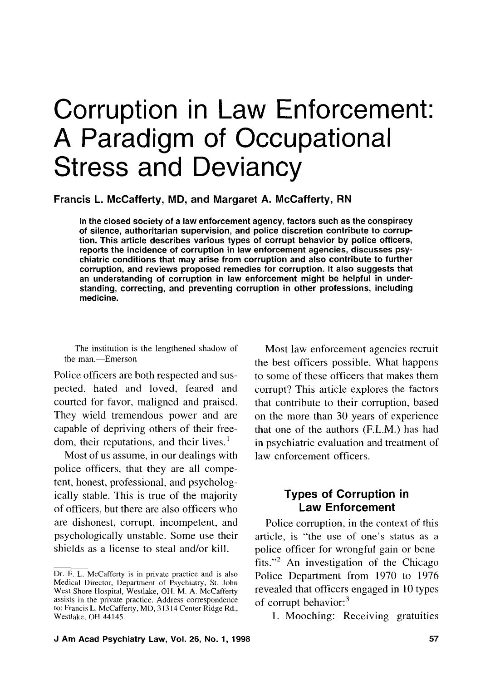# Corruption in Law Enforcement: A Paradigm of Occupational Stress and Deviancy

**Francis L. McCafferty, MD, and Margaret A. McCafferty, RN** 

In the closed society of a law enforcement agency, factors such as the conspiracy of silence, authoritarian supervision, and police discretion contribute to corruption. This article describes various types of corrupt behavior by police officers, reports the incidence of corruption in law enforcement agencies, discusses psychiatric conditions that may arise from corruption and also contribute to further corruption, and reviews proposed remedies for corruption. It also suggests that an understanding of corruption in law enforcement might be helpful in understanding, correcting, and preventing corruption in other professions, including medicine.

The institution is the lengthened shadow of the man.-Emerson

Police officers are both respected and suspected, hated and loved, feared and courted for favor, maligned and praised. They wield tremendous power and are capable of depriving others of their freedom, their reputations, and their lives.'

Most of us assume, in our dealings with police officers, that they are all competent, honest, professional, and psychologically stable. This is true of the majority of officers, but there are also officers who are dishonest, corrupt, incompetent, and psychologically unstable. Some use their shields as a license to steal and/or kill.

Most law enforcement agencies recruit the best officers possible. What happens to some of these officers that makes them corrupt? This article explores the factors that contribute to their corruption, based on the more than 30 years of experience that one of the authors (F.L.M.) has had in psychiatric evaluation and treatment of law enforcement officers.

#### **Types of Corruption in Law Enforcement**

Police corruption, in the context of this article, is "the use of one's status as a police officer for wrongful gain or benefits."<sup>2</sup> An investigation of the Chicago Police Department from 1970 to 1976 revealed that officers engaged in 10 types of corrupt behavior:<sup>3</sup>

**1.** Mooching: Receiving gratuities

Dr. F. L. McCafferty is in private practice and is also Medical Director, Department of Psychiatry, St. John West Shore Hospital, Westlake, OH. M. **A.** McCafferty assists in the private practice. Address correspondence to: Francis L. McCafferty, MD, 3 13 14 Center Ridge Rd., Westlake, OH 44145.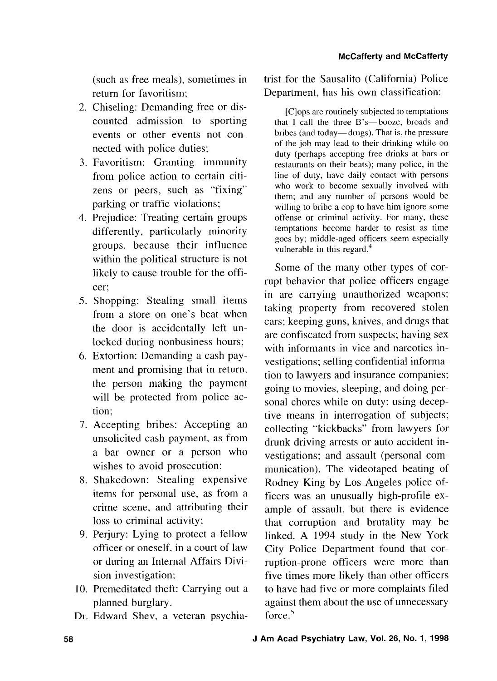(such as free meals), sometimes in return for favoritism;

- 2. Chiseling: Demanding free or discounted admission to sporting events or other events not connected with police duties;
- 3. Favoritism: Granting immunity from police action to certain citizens or peers, such as "fixing" parking or traffic violations;
- 4. Prejudice: Treating certain groups differently, particularly minority groups, because their influence within the political structure is not likely to cause trouble for the officer;
- *5.* Shopping: Stealing small items from a store on one's beat when the door is accidentally left unlocked during nonbusiness hours;
- 6. Extortion: Demanding a cash payment and promising that in return, the person making the payment will be protected from police action;
- 7. Accepting bribes: Accepting an unsolicited cash payment, as from a bar owner or a person who wishes to avoid prosecution;
- 8. Shakedown: Stealing expensive items for personal use, as from a crime scene, and attributing their loss to criminal activity;
- 9. Perjury: Lying to protect a fellow officer or oneself, in a court of law or during an Internal Affairs Division investigation;
- 10. Premeditated theft: Carrying out a planned burglary.
- Dr. Edward Shev, a veteran psychia-

trist for the Sausalito (California) Police Department, has his own classification:

[Clops are routinely subjected to temptations that I call the three B's-booze, broads and bribes (and today—drugs). That is, the pressure of the job may lead to their drinking while on duty (perhaps accepting free drinks at bars or restaurants on their beats); many police, in the line of duty, have daily contact with persons who work to become sexually involved with them; and any number of persons would be willing to bribe a cop to have him ignore some offense or criminal activity. For many, these temptations become harder to resist as time goes by; middle-aged officers seem especially vulnerable in this regard.<sup>4</sup>

Some of the many other types of corrupt behavior that police officers engage in are carrying unauthorized weapons; taking property from recovered stolen cars; keeping guns, knives, and drugs that are confiscated from suspects; having sex with informants in vice and narcotics investigations; selling confidential information to lawyers and insurance companies; going to movies, sleeping, and doing personal chores while on duty; using deceptive means in interrogation of subjects; collecting "kickbacks" from lawyers for drunk driving arrests or auto accident investigations; and assault (personal communication). The videotaped beating of Rodney King by Los Angeles police officers was an unusually high-profile example of assault, but there is evidence that corruption and brutality may be linked. A 1994 study in the New York City Police Department found that corruption-prone officers were more than five times more likely than other officers to have had five or more complaints filed against them about the use of unnecessary force. $5$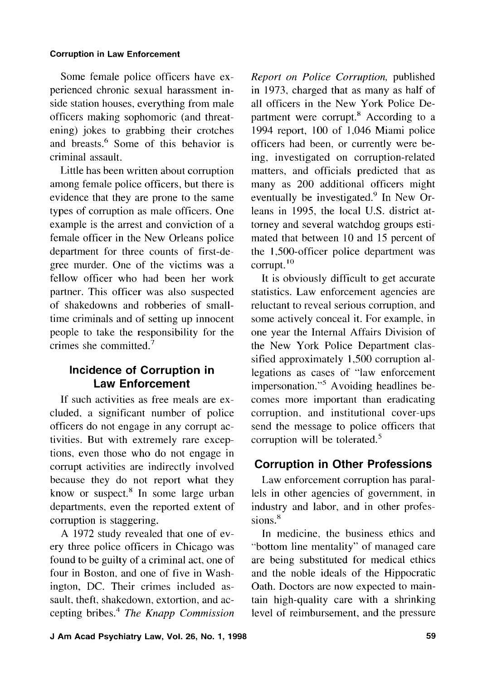Some female police officers have experienced chronic sexual harassment inside station houses, everything from male officers making sophomoric (and threatening) jokes to grabbing their crotches and breasts.<sup>6</sup> Some of this behavior is criminal assault.

Little has been written about corruption among female police officers, but there is evidence that they are prone to the same types of corruption as male officers. One example is the arrest and conviction of a female officer in the New Orleans police department for three counts of first-degree murder. One of the victims was a fellow officer who had been her work partner. This officer was also suspected of shakedowns and robberies of smalltime criminals and of setting up innocent people to take the responsibility for the crimes she committed. $<sup>7</sup>$ </sup>

# **Incidence of Corruption in Law Enforcement**

If such activities as free meals are excluded, a significant number of police officers do not engage in any corrupt activities. But with extremely rare exceptions, even those who do not engage in corrupt activities are indirectly involved because they do not report what they know or suspect.<sup>8</sup> In some large urban departments, even the reported extent of corruption is staggering.

A 1972 study revealed that one of every three police officers in Chicago was found to be guilty of a criminal act, one of four in Boston, and one of five in Washington, DC. Their crimes included assault. theft, shakedown, extortion, and accepting bribes4 *The Knapp Commission* 

*Report on Police Corruption,* published in 1973, charged that as many as half of all officers in the New York Police Department were corrupt.<sup>8</sup> According to a 1994 report, 100 of 1,046 Miami police officers had been, or currently were being, investigated on corruption-related matters, and officials predicted that as many as 200 additional officers might eventually be investigated. $9$  In New Orleans in 1995, the local U.S. district attorney and several watchdog groups estimated that between 10 and 15 percent of the 1,500-officer police department was corrupt.<sup>10</sup>

It is obviously difficult to get accurate statistics. Law enforcement agencies are reluctant to reveal serious corruption, and some actively conceal it. For example, in one year the Internal Affairs Division of the New York Police Department classified approximately 1,500 corruption allegations as cases of "law enforcement impersonation."<sup>5</sup> Avoiding headlines becomes more important than eradicating corruption, and institutional cover-ups send the message to police officers that corruption will be tolerated.<sup>5</sup>

# **Corruption in Other Professions**

Law enforcement corruption has parallels in other agencies of government, in industry and labor, and in other professions. $8$ 

In medicine, the business ethics and "bottom line mentality" of managed care are being substituted for medical ethics and the noble ideals of the Hippocratic Oath. Doctors are now expected to maintain high-quality care with a shrinking level of reimbursement, and the pressure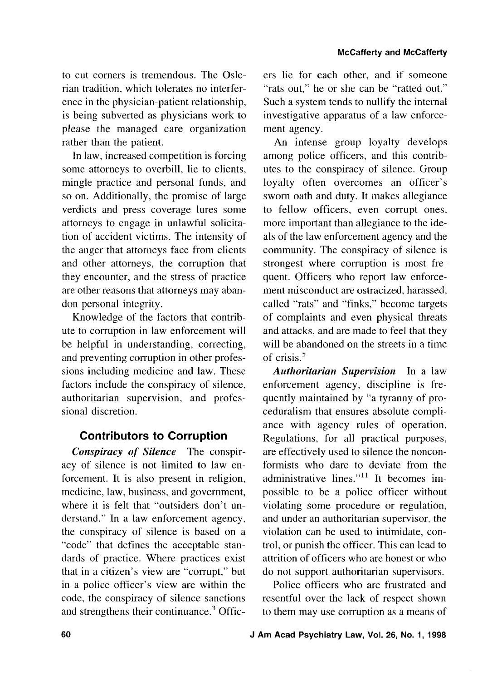to cut corners is tremendous. The Oslerian tradition. which tolerates no interference in the physician-patient relationship, is being subverted as physicians work to please the managed care organization rather than the patient.

In law, increased competition is forcing some attorneys to overbill, lie to clients, mingle practice and personal funds, and so on. Additionally, the promise of large verdicts and press coverage lures some attorneys to engage in unlawful solicitation of accident victims. The intensity of the anger that attorneys face from clients and other attorneys, the corruption that they encounter, and the stress of practice are other reasons that attorneys may abandon personal integrity.

Knowledge of the factors that contribute to corruption in law enforcement will be helpful in understanding. correcting, and preventing corruption in other professions including medicine and law. These factors include the conspiracy of silence, authoritarian supervision, and professional discretion.

### **Contributors to Corruption**

*Conspiracy of Silence* The conspiracy of silence is not limited to law enforcement. It is also present in religion, medicine, law, business, and government, where it is felt that "outsiders don't understand." In a law enforcement agency, the conspiracy of silence is based on a "code" that defines the acceptable standards of practice. Where practices exist that in a citizen's view are "corrupt," but in a police officer's view are within the code, the conspiracy of silence sanctions and strengthens their continuance. $3$  Officers lie for each other, and if someone "rats out," he or she can be "ratted out." Such a system tends to nullify the internal investigative apparatus of a law enforcement agency.

An intense group loyalty develops among police officers, and this contributes to the conspiracy of silence. Group loyalty often overcomes an officer's sworn oath and duty. It makes allegiance to fellow officers, even corrupt ones. more important than allegiance to the ideals of the law enforcement agency and the community. The conspiracy of silence is strongest where corruption is most frequent. Officers who report law enforcement misconduct are ostracized, harassed, called "rats" and "finks," become targets of complaints and even physical threats and attacks, and are made to feel that they will be abandoned on the streets in a time of crisis.'

*Authoritarian Supervision* In a law enforcement agency, discipline is frequently maintained by "a tyranny of proceduralism that ensures absolute compliance with agency rules of operation. Regulations, for all practical purposes, are effectively used to silence the nonconformists who dare to deviate from the administrative lines."<sup>11</sup> It becomes impossible to be a police officer without violating some procedure or regulation, and under an authoritarian supervisor, the violation can be used to intimidate, control, or punish the officer. This can lead to attrition of officers who are honest or who do not support authoritarian supervisors.

Police officers who are frustrated and resentful over the lack of respect shown to them may use corruption as a means of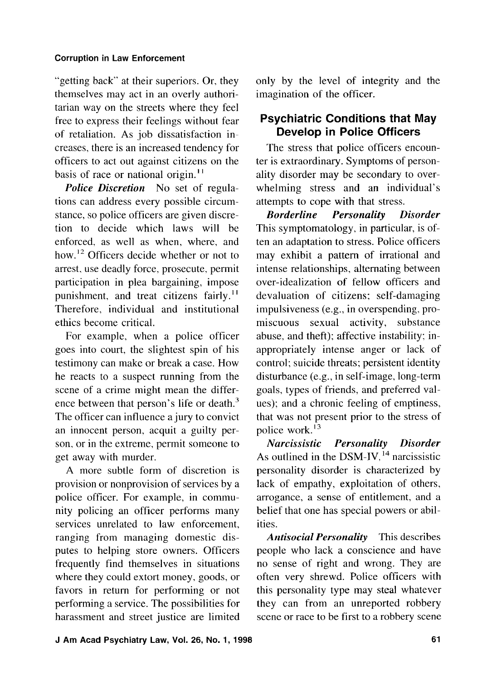"getting back" at their superiors. Or, they themselves may act in an overly authoritarian way on the streets where they feel free to express their feelings without fear of retaliation. As job dissatisfaction increases, there is an increased tendency for officers to act out against citizens on the basis of race or national origin. $11$ 

*Police Discretion* No set of regulations can address every possible circumstance, so police officers are given discretion to decide which laws will be enforced, as well as when, where, and how.<sup>12</sup> Officers decide whether or not to arrest, use deadly force, prosecute, permit participation in plea bargaining, impose punishment, and treat citizens fairly.<sup>11</sup> Therefore, individual and institutional ethics become critical.

For example, when a police officer goes into court, the slightest spin of his testimony can make or break a case. How he reacts to a suspect running from the scene of a crime might mean the difference between that person's life or death.<sup>3</sup> The officer can influence a jury to convict an innocent person, acquit a guilty person. or in the extreme, permit someone to get away with murder.

A more subtle form of discretion is provision or nonprovision of services by a police officer. For example, in community policing an officer performs many services unrelated to law enforcement, ranging from managing domestic disputes to helping store owners. Officers frequently find themselves in situations where they could extort money, goods, or favors in return for performing or not performing a service. The possibilities for harassment and street justice are limited only by the level of integrity and the imagination of the officer.

## **Psychiatric Conditions that May Develop in Police Officers**

The stress that police officers encounter is extraordinary. Symptoms of personality disorder may be secondary to overwhelming stress and an individual's attempts to cope with that stress.

*Borderline Personality Disorder*  This symptomatology, in particular, is often an adaptation to stress. Police officers may exhibit a pattern of irrational and intense relationships, alternating between over-idealization of fellow officers and devaluation of citizens; self-damaging impulsiveness (e.g., in overspending, promiscuous sexual activity, substance abuse, and theft); affective instability; inappropriately intense anger or lack of control; suicide threats; persistent identity disturbance (e.g., in self-image, long-term goals, types of friends, and preferred values); and a chronic feeling of emptiness, that was not present prior to the stress of police work. $^{13}$ 

*Narcissistic Personality Disorder*  As outlined in the DSM-IV,  $^{14}$  narcissistic personality disorder is characterized by lack of empathy, exploitation of others, arrogance, a sense of entitlement, and a belief that one has special powers or abilities.

*Antisocial Personality* This describes people who lack a conscience and have no sense of right and wrong. They are often very shrewd. Police officers with this personality type may steal whatever they can from an unreported robbery scene or race to be first to a robbery scene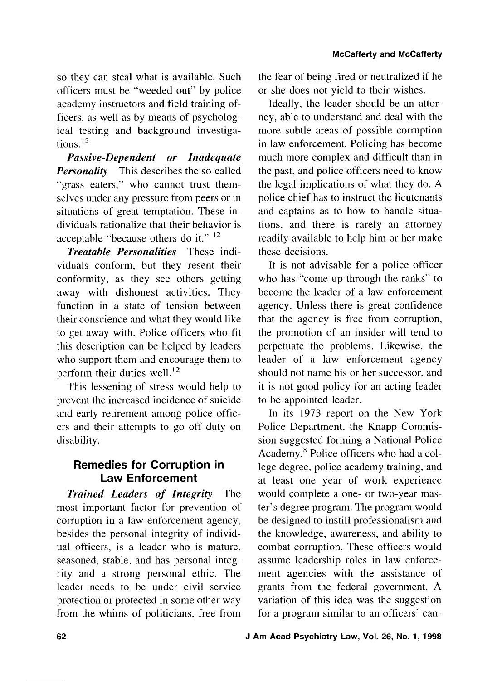so they can steal what is available. Such officers must be "weeded out" by police academy instructors and field training officers, as well as by means of psychological testing and background investigations. $^{12}$ 

*Passive-Dependent or Inadequate Personality* This describes the so-called "grass eaters," who cannot trust themselves under any pressure from peers or in situations of great temptation. These individuals rationalize that their behavior is acceptable "because others do it." <sup>12</sup>

*Treatable Personalities* These individuals conform, but they resent their conformity, as they see others getting away with dishonest activities. They function in a state of tension between their conscience and what they would like to get away with. Police officers who fit this description can be helped by leaders who support them and encourage them to perform their duties well.<sup>12</sup>

This lessening of stress would help to prevent the increased incidence of suicide and early retirement among police officers and their attempts to go off duty on disability.

## **Remedies for Corruption in Law Enforcement**

*Trained Leaders of Integrity* The most important factor for prevention of corruption in a law enforcement agency, besides the personal integrity of individual officers, is a leader who is mature, seasoned, stable, and has personal integrity and a strong personal ethic. The leader needs to be under civil service protection or protected in some other way from the whims of politicians, free from the fear of being fired or neutralized if he or she does not yield to their wishes.

Ideally, the leader should be an attorney, able to understand and deal with the more subtle areas of possible corruption in law enforcement. Policing has become much more complex and difficult than in the past, and police officers need to know the legal implications of what they do. A police chief has to instruct the lieutenants and captains as to how to handle situations, and there is rarely an attorney readily available to help him or her make these decisions.

It is not advisable for a police officer who has "come up through the ranks" to become the leader of a law enforcement agency. Unless there is great confidence that the agency is free from corruption, the promotion of an insider will tend to perpetuate the problems. Likewise, the leader of a law enforcement agency should not name his or her successor. and it is not good policy for an acting leader to be appointed leader.

In its 1973 report on the New York Police Department, the Knapp Commission suggested forming a National Police Academy.<sup>8</sup> Police officers who had a college degree, police academy training, and at least one year of work experience would complete a one- or two-year master's degree program. The program would be designed to instill professionalism and the knowledge, awareness, and ability to combat corruption. These officers would assume leadership roles in law enforcement agencies with the assistance of grants from the federal government. A variation of this idea was the suggestion for a program similar to an officers' can-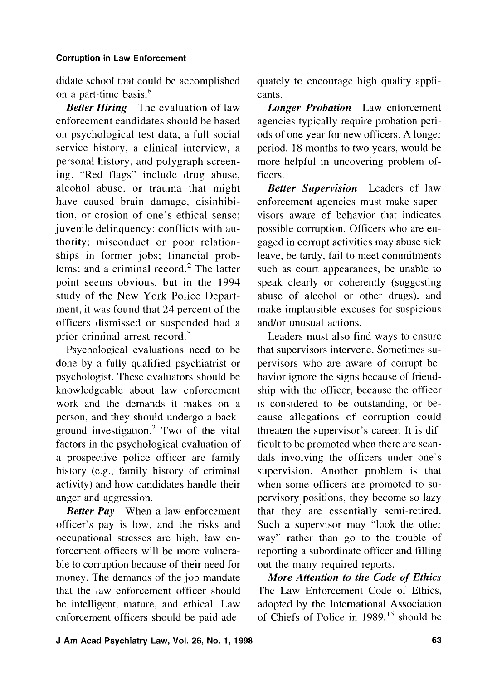didate school that could be accomplished on a part-time basis.<sup>8</sup>

*Better Hiring* The evaluation of law enforcement candidates should be based on psychological test data, a full social service history, a clinical interview, a personal history, and polygraph screening. "Red flags" include drug abuse, alcohol abuse, or trauma that might have caused brain damage, disinhibition, or erosion of one's ethical sense; juvenile delinquency; conflicts with authority; misconduct or poor relationships in former jobs; financial problems; and a criminal record.' The latter point seems obvious, but in the 1994 study of the New York Police Department, it was found that 24 percent of the officers dismissed or suspended had a prior criminal arrest record. $5$ 

Psychological evaluations need to be done by a fully qualified psychiatrist or psychologist. These evaluators should be knowledgeable about law enforcement work and the demands it makes on a person, and they should undergo a background investigation. $<sup>2</sup>$  Two of the vital</sup> factors in the psychological evaluation of a prospective police officer are family history (e.g., family history of criminal activity) and how candidates handle their anger and aggression.

*Better Pay* When a law enforcement officer's pay is low, and the risks and occupational stresses are high, law enforcement officers will be more vulnerable to corruption because of their need for money. The demands of the job mandate that the law enforcement officer should be intelligent, mature, and ethical. Law enforcement officers should be paid adequately to encourage high quality applicants.

*Longer Probation* Law enforcement agencies typically require probation periods of one year for new officers. A longer period, 18 months to two years, would be more helpful in uncovering problem officers.

*Better Supervision* Leaders of law enforcement agencies must make supervisors aware of behavior that indicates possible corruption. Officers who are engaged in corrupt activities may abuse sick leave, be tardy. fail to meet commitments such as court appearances, be unable to speak clearly or coherently (suggesting abuse of alcohol or other drugs). and make implausible excuses for suspicious and/or unusual actions.

Leaders must also find ways to ensure that supervisors intervene. Sometimes supervisors who are aware of corrupt behavior ignore the signs because of friendship with the officer, because the officer is considered to be outstanding, or because allegations of corruption could threaten the supervisor's career. It is difficult to be promoted when there are scandals involving the officers under one's supervision. Another problem is that when some officers are promoted to supervisory positions, they become so lazy that they are essentially semi-retired. Such a supervisor may "look the other way" rather than go to the trouble of reporting a subordinate officer and filling out the many required reports.

*More Attention to the Code of Ethics*  The Law Enforcement Code of Ethics, adopted by the International Association of Chiefs of Police in 1989.15 should be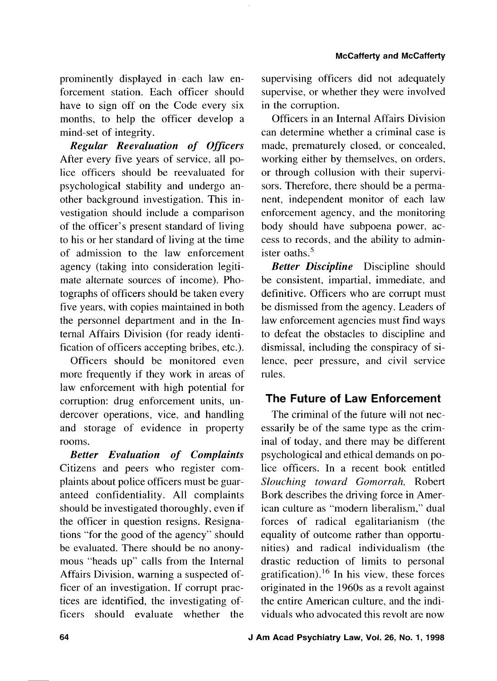prominently displayed in each law enforcement station. Each officer should have to sign off on the Code every six months, to help the officer develop a mind-set of integrity.

*Regular Reevaluation of Officers*  After every five years of service, all police officers should be reevaluated for psychological stability and undergo another background investigation. This investigation should include a comparison of the officer's present standard of living to his or her standard of living at the time of admission to the law enforcement agency (taking into consideration legitimate alternate sources of income). Photographs of officers should be taken every five years, with copies maintained in both the personnel department and in the Intemal Affairs Division (for ready identification of officers accepting bribes, etc.).

Officers should be monitored even more frequently if they work in areas of law enforcement with high potential for corruption: drug enforcement units, undercover operations, vice, and handling and storage of evidence in property rooms.

*Better Evaluation of Complaints*  Citizens and peers who register complaints about police officers must be guaranteed confidentiality. All complaints should be investigated thoroughly, even if the officer in question resigns. Resignations "for the good of the agency" should be evaluated. There should be no anonymous "heads up" calls from the Internal Affairs Division, warning a suspected officer of an investigation. If corrupt practices are identified, the investigating officers should evaluate whether the

supervising officers did not adequately supervise, or whether they were involved in the corruption.

Officers in an Internal Affairs Division can determine whether a criminal case is made, prematurely closed, or concealed, working either by themselves, on orders, or through collusion with their supervisors. Therefore, there should be a permanent, independent monitor of each law enforcement agency, and the monitoring body should have subpoena power. access to records, and the ability to administer oaths.<sup>5</sup>

*Better Discipline* Discipline should be consistent, impartial, immediate, and definitive. Officers who are corrupt must be dismissed from the agency. Leaders of law enforcement agencies must find ways to defeat the obstacles to discipline and dismissal, including the conspiracy of silence, peer pressure, and civil service rules.

### **The Future of Law Enforcement**

The criminal of the future will not necessarily be of the same type as the criminal of today, and there may be different psychological and ethical demands on police officers. In a recent book entitled *Slouching toward Gomorrah,* Robert Bork describes the driving force in American culture as "modem liberalism," dual forces of radical egalitarianism (the equality of outcome rather than opportunities) and radical individualism (the drastic reduction of limits to personal gratification).<sup>16</sup> In his view, these forces originated in the 1960s as a revolt against the entire American culture, and the individuals who advocated this revolt are now